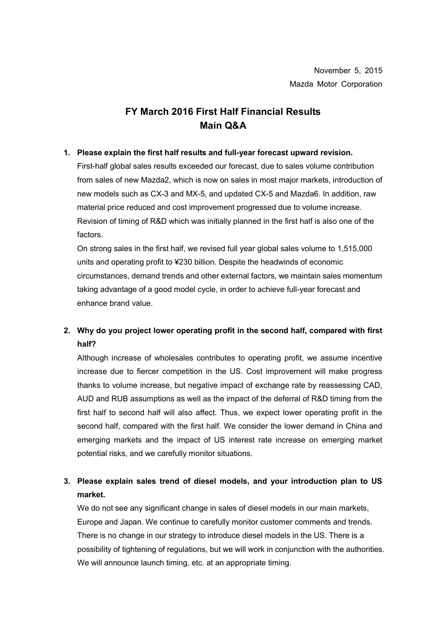# **FY March 2016 First Half Financial Results Main Q&A**

### **1. Please explain the first half results and full-year forecast upward revision.**

First-half global sales results exceeded our forecast, due to sales volume contribution from sales of new Mazda2, which is now on sales in most major markets, introduction of new models such as CX-3 and MX-5, and updated CX-5 and Mazda6. In addition, raw material price reduced and cost improvement progressed due to volume increase. Revision of timing of R&D which was initially planned in the first half is also one of the factors.

On strong sales in the first half, we revised full year global sales volume to 1,515,000 units and operating profit to ¥230 billion. Despite the headwinds of economic circumstances, demand trends and other external factors, we maintain sales momentum taking advantage of a good model cycle, in order to achieve full-year forecast and enhance brand value.

## **2. Why do you project lower operating profit in the second half, compared with first half?**

Although increase of wholesales contributes to operating profit, we assume incentive increase due to fiercer competition in the US. Cost improvement will make progress thanks to volume increase, but negative impact of exchange rate by reassessing CAD, AUD and RUB assumptions as well as the impact of the deferral of R&D timing from the first half to second half will also affect. Thus, we expect lower operating profit in the second half, compared with the first half. We consider the lower demand in China and emerging markets and the impact of US interest rate increase on emerging market potential risks, and we carefully monitor situations.

## **3. Please explain sales trend of diesel models, and your introduction plan to US market.**

We do not see any significant change in sales of diesel models in our main markets, Europe and Japan. We continue to carefully monitor customer comments and trends. There is no change in our strategy to introduce diesel models in the US. There is a possibility of tightening of regulations, but we will work in conjunction with the authorities. We will announce launch timing, etc. at an appropriate timing.